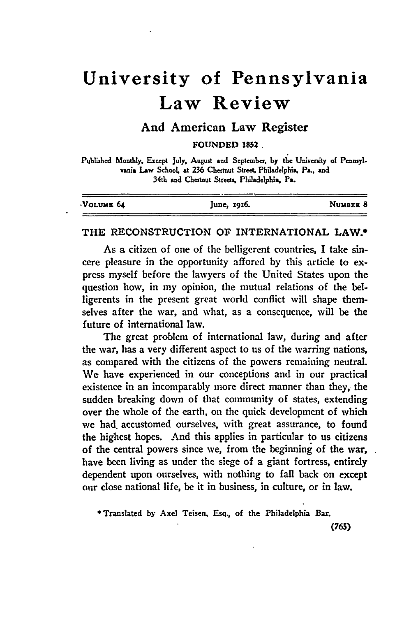# **University of Pennsylvania Law Review**

## **And American Law Register**

**FOUNDED 1852.**

**Published Monthly, Except July, August** and September, **by the** University of Pennsylvania **Law School. at 236 Chestnut Street. Philadelphia. Pa.. and 34th and Chestnut Streets. Philadelphia, Pa.**

| VOLUME 64 | June, 1916. | NUMBER 8 |
|-----------|-------------|----------|
|           |             |          |

### THE RECONSTRUCTION OF INTERNATIONAL LAW.\*

As a citizen of one of the belligerent countries, I take sincere pleasure in the opportunity affored **by** this article to express myself before the lawyers of the United States upon the question how, in my opinion, the mutual relations of the belligerents in the present great world conflict will shape themselves after the war, and what, as a consequence, will be the future of international law.

The great problem of international law, during and after the war, has a very different aspect to us of the warring nations, as compared with the citizens of the powers remaining neutral. We have experienced in our conceptions and in our practical existence in an incomparably more direct manner than they, the sudden breaking down of that community of states, extending over the whole of the earth, on the quick development of which we had. accustomed ourselves, with great assurance, to found the highest hopes. And this applies in particular to us citizens of the central powers since we, from the beginning of the war, have been living as under the siege of a giant fortress, entirely dependent upon ourselves, with nothing to fall back on except our close national life, be it in business, in culture, or in law.

\* Translated **by** Axel Teisen, Esq., of the Philadelphia Bar.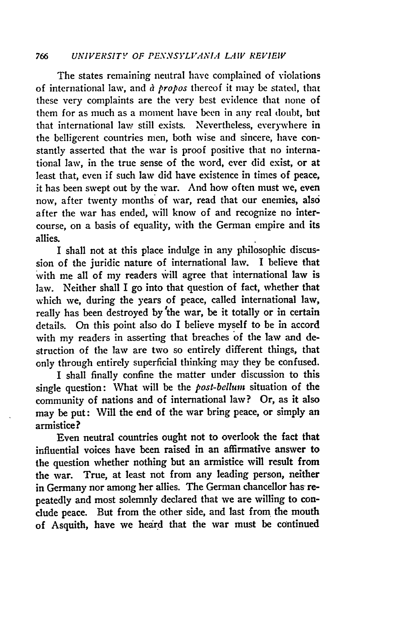### **<sup>766</sup>***UNIVERSITY OF PENNSYLVANIA LAIV REVIEW*

The states remaining neutral have complained of violations of international law, and *t propos* thereof it may **be** stated, that these very complaints are the very best evidence that none of them for as much as a moment have been in any real doubt, but that international law still exists. Nevertheless, everywhere in the belligerent countries men, both wise and sincere, have constantly asserted that the war is proof positive that no international law, in the true sense of the word, ever did exist, or at least that, even if such law did have existence in times of peace, it has been swept out by the war. And how often must we, even now, after twenty months of war, read that our enemies, also after the war has ended, will know of and recognize no intercourse, on a basis of equality, with the German empire and its allies.

I shall not at this place indulge in any philosophic discussion of the juridic nature of international law. I believe that with me all of my readers will agree that international law is law. Neither shall I go into that question of fact, whether that which we, during the years of peace, called international law, really has been destroyed by 'the war, be it totally or in certain details. On this point also do I believe myself to be in accord with my readers in asserting that breaches of the law and destruction of the law are two so entirely different things, that only through entirely superficial thinking may they be confused.

I shall finally confine the matter under discussion to this single question: What will be the *post-bellunt* situation of the community of nations and of international law? Or, as it also may be put: Will the end of the war bring peace, or simply an armistice?

Even neutral countries ought not to overlook the fact that influential voices have been raised in an affirmative answer to the question whether nothing but an armistice will result from the war. True, at least not from any leading person, neither in Germany nor among her allies. The German chancellor has repeatedly and most solemnly declared that we are willing to conclude peace. But from the other side, and last from the mouth of Asquith, have we heard that the war must be continued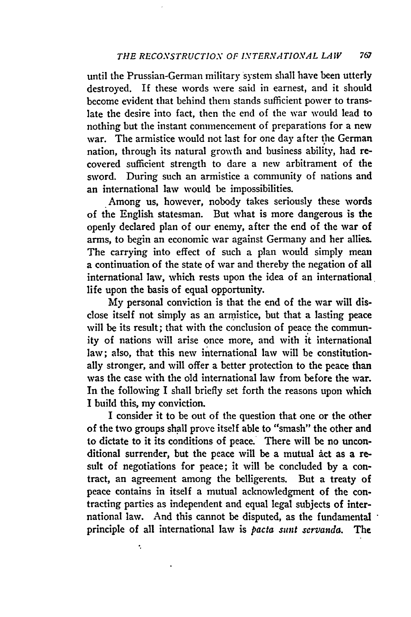until the Prussian-German military system shall have been utterly destroyed. If these words were said in earnest, and it should become evident that behind them stands sufficient power to translate the desire into fact, then the end of the war would lead to nothing but the instant commencement of preparations for a new war. The armistice would not last for one day after the German nation, through its natural growth and business ability, had recovered sufficient strength to dare a new arbitrament of the sword. During such an armistice a community of nations and an international law would be impossibilities.

Among us, however, nobody takes seriously these words **of** the English statesman. But what is more dangerous is the openly declared plan of our enemy, after the end of the war of arms, to begin an economic war against Germany and her allies. The carrying into effect of such a plan would simply mean a continuation of the state of war and thereby the negation of all international law, which rests upon the idea of an international life upon the basis of equal opportunity.

My personal conviction is that the end of the war will disclose itself not simply as an armistice, but that a lasting peace will be its result; that with the conclusion of peace the community of nations will arise once more, and with it international law; also, that this new international law will be constitutionally stronger, and will offer a better protection to the peace than was the case with the old international law from before the war. In the following I shall briefly set forth the reasons upon which I build this, my conviction.

I consider it to be out of the question that one or the other of the two groups shall prove itself able to "smash" the other and to dictate to it its conditions of peace. There will be no unconditional surrender, but the peace will be a mutual act as a result of negotiations for peace; it will be concluded by a contract, an agreement among the belligerents. But a treaty of peace contains in itself a mutual acknowledgment of the contracting parties as independent and equal legal subjects of international law. And this cannot be disputed, as the fundamental principle of all international law is *pacta sunt scrvanda.* The

÷,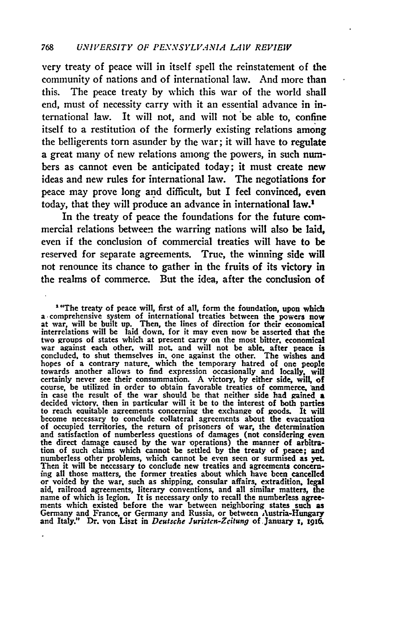very treaty of peace will in itself spell the reinstatement of the community of nations and of international law. And more than this. The peace treaty by which this war of the world shall end, must of necessity carry with it an essential advance in international law. It will not, and will not be able to, confine itself to a restitution of the formerly existing relations among the belligerents torn asunder by the war; it will have to regulate a great many of new relations among the powers, in such numbers as cannot even be anticipated today; it must create new ideas and new rules for international law. The negotiations for peace may prove long and difficult, but I feel convinced, even today, that they will produce an advance in international law.'

In the treaty of peace the foundations for the future commercial relations between the warring nations will also be laid, even if the conclusion of commercial treaties will have to be reserved for separate agreements. True, the winning side will not renounce its chance to gather in the fruits of its victory in the realms of commerce. But the idea, after the conclusion of

 $^{\text{1-4}}$  The treaty of peace will, first of all, form the foundation, upon which a comprehensive system of international treaties between the powers now at war. will be built up. Then, the lines of direction for their economical interrelations will be laid down. for it may even now be asserted that the two groups of states which at present carry on the most bitter, economical war against each other, will not. and will not be able. after peace is concluded, to shut themselves in. one against the other. The wishes and hopes of a contrary nature, which the temporary hatred of one people towards another allows to find expression occasionally and locally, will certainly never see their consummation. A victory, **by** either side, will, **of** course, be utilized in order to obtain favorable treaties of commerce, and<br>in case the result of the war should be that neither side had gained a<br>decided victory, then in particular will it be to the interest of both parti to reach eauitable agreements concerning the exchange of goods. It will become necessary to conclude collateral agreements about the evacuation of occupied territories, the return of prisoners of war, the determination and satisfaction of numberless questions of damages (not considering even the direct damage caused **by** the war operations) the manner of arbitration of such claims which cannot be settled **by** the treaty of peace; and numberless other problems, which cannot be even seen or surmised as yet.<br>Then it will be necessary to conclude new treaties and agreements concerning all those matters, the former treaties about which have been cancelled<br>o aid, railroad agreements, literary conventions, and all similar matters, the name of which is legion. It is necessary only to recall the numberless agreements which existed before the war between neighboring states such as Germany and France, or Germany and Russia, or between Austria-Hungary and Italy." **Dr.** von Liszt in *Deutsche Juristcn-Zeitung* of.January i, **sgi6.**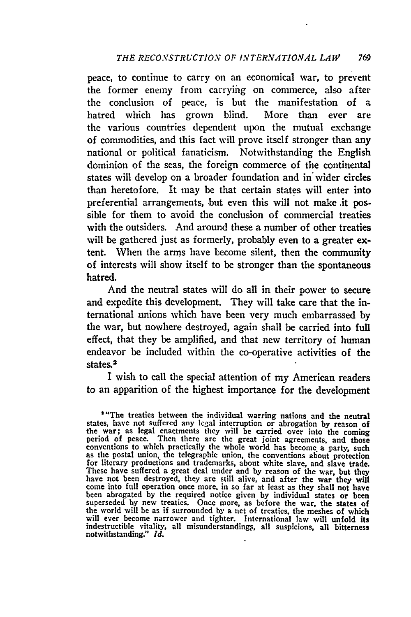peace, to continue to carry on an economical war, to prevent the former enemy from carrying on commerce, also after the conclusion of peace, is but the manifestation of a hatred which has grown blind. More than ever are the various countries dependent upon the mutual exchange of commodities, and this fact will prove itself stronger than any national or political fanaticism. Notwithstanding the English dominion of the seas, the foreign commerce of the continental states will develop on a broader foundation and in wider circles than heretofore. It may be that certain states will enter into preferential arrangements, but even this will not make .it possible for them to avoid the conclusion of commercial treaties with the outsiders. And around these a number of other treaties will be gathered just as formerly, probably even to a greater extent. When the arms have become silent, then the community of interests will show itself to be stronger than the spontaneous hatred.

And the neutral states **will** do all in their power to secure and expedite this development. They will take care that the international unions which have been very much embarrassed **by** the war, but nowhere destroyed, again shall be carried into full effect, that they be amplified, and that new territory of human endeavor be included within the co-operative activities of the states.<sup>2</sup>

I wish to call the special attention of my American readers to an apparition of the highest importance for the development

<sup>&#</sup>x27;The treaties between the individual warring nations and the neutral states, have not suffered any legal interruption or abrogation by reason of the war; as legal enactments they will be carried over into the coming period of peace. Then there are the great joint agreements, and those conventions to which practically the whole world has become a party, such as the postal union, the telegraphic union, the conventions alout protection for literary productions and trademarks, about white slave, and slave trade. These have suffered a great deal under and by reason of the war, but they<br>have not been destroyed, they are still alive, and after the war they will<br>come into full operation once more, in so far at least as they shall not been abrogated by the required notice given by individual states or been superseded by new treaties. Once more, as before the war, the states of the world will be as if surrounded by a net of treaties, the meshes of which will ever become narrower and tighter. International law will unfold its indestructible vitality, all misunderstandingp, all suspicions, all bitterness notwithstanding." *Id.*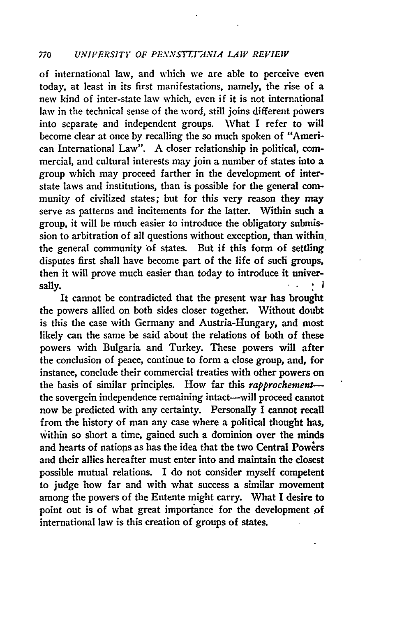#### 770 UNIVERSITY OF PENNSYLITANIA LAW REVIEW

of international law, and which we are able to perceive even today, at least in its first manifestations, namely, the rise of a new kind of inter-state law which, even if it is not international law in the technical sense of the word, still joins different powers into separate and independent groups. What I refer to will become clear at once **by** recalling the so much spoken of "American International Law". **A** closer relationship in political, commercial, and cultural interests may join a number of states into a group which may proceed farther in the development of interstate laws and institutions, than is possible for the general community of civilized states; but for this very reason they may serve as patterns and incitements for the latter. Within such a group, it will be much easier to introduce the obligatory submission to arbitration of all questions without exception, than within. the general community **of** states. But if this form of settling disputes first shall have become part of the life of such groups, then it will prove much easier than today to introduce it universally.  $\qquad \qquad \blacksquare$ 

It cannot be contradicted that the present war has brought the powers allied on both sides closer together. Without doubt is this the case with Germany and Austria-Hungary, and most likely can the same be said about the relations of both of these powers with Bulgaria and Turkey. These powers will after the conclusion of peace, continue to form a close group, and, for instance, conclude their commercial treaties with other powers on the basis of similar principles. How far this *rapprochement*the sovergein independence remaining intact-will proceed cannot now be predicted with any certainty. Personally I cannot recall from the history of man any case where a political thought has, within so short a time, gained such a dominion over the minds and hearts of nations as has the idea that the two Central Powers and their allies hereafter must enter into and maintain the closest possible mutual relations. I do not consider myself competent to judge how far and with what success a similar movement among the powers of the Entente might carry. What I desire to point out is of what great importance for the development of international law is this creation of groups of states.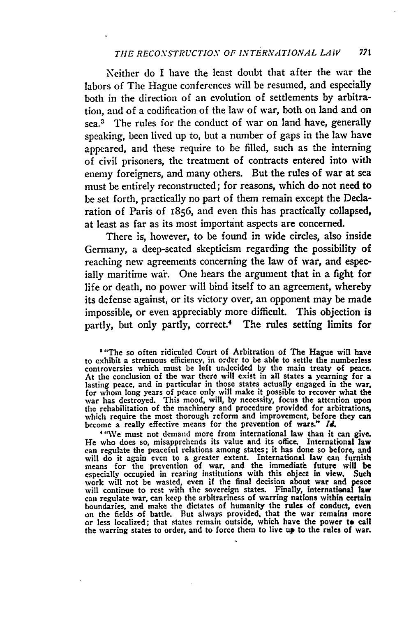Neither do I have the least doubt that after the war the labors of The Hague conferences will be resumed, and especially both in the direction of an evolution of settlements by arbitration, and of a codification of the law of war, both on land and on sea.<sup>3</sup> The rules for the conduct of war on land have, generally speaking, been lived up to, but a number of gaps in the law have appeared, and these require to be filled, such as the interning of civil prisoners, the treatment of contracts entered into with enemy foreigners, and many others. But the rules of war at sea must be entirely reconstructed; for reasons, which do not need to be set forth, practically no part of them remain except the Declaration of Paris of 1856, and even this has practically collapsed, at least as far as its most important aspects are concerned.

There is, however, to be found in wide circles, also inside Germany, a deep-seated skepticism regarding the possibility of reaching new agreements concerning the law of war, and especially maritime war. One hears the argument that in a fight for life or death, no power will bind itself to an agreement, whereby its defense against, or its victory over, an opponent may be made impossible, or even appreciably more difficult. This objection is partly, but only partly, correct.4 The rules setting limits for

""We must not demand more from international law than it can give. He who does so, misapprehends its value and its office. International law can regulate the peaceful relations among states; it has done so before, and will do it again even to a greater extent. International law can furnish means for the prevention of war. and the immediate future will be especially occupied in rearing institutions with this object in view. Such work will not be wasted, even if the final decision about war and peace will continue to rest with the sovereign states. Finally, international law can regulate war, can keep the arbitrariness of warring nations within certain boundaries, and make the dictates of humanity the rules of conduct, even on the fields of battle. But always provided, that the war remains more or less localized; that states remain outside, which have the power to call the warring states to order, and to force them to live up to the rules of war.

<sup>&#</sup>x27;"The so often ridiculed Court of Arbitration of The Hague will have to exhibit a strenuous efficiency, in order to be able to settle the numberless controversies which must be left undecided **by** the main treaty of peace. At the conclusion of the war there will exist in all states a yearning for a lasting peace, and in particular in those states actually engaged in the war, for whom long years of peace only will make it possible to recover what the war has destroyed. This mood, will, **by** necessity, focus the attention upon the rehabilitation of the machinery and procedure provided for arbitrations, which require the most thorough reform and improvement, before they can become a really effective means for the prevention of wars." **Id.**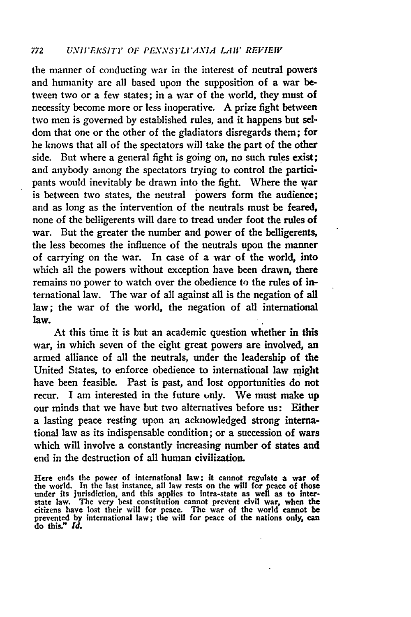the manner of conducting war in the interest of neutral powers and humanity are all based upon the supposition of a war **be**tween two or a few states; in a war of the world, they must of necessity become more or less inoperative. A prize fight between two men is governed **by** established rules, and it happens but seldom that one or the other of the gladiators disregards them; for he knows that all of the spectators will take the part of the other side. But where a general fight is going on, no such rules exist; and anybody among the spectators trying to control the participants would inevitably be drawn into the fight. Where the war is between two states, the neutral powers form the audience; and as long as the intervention of the neutrals must be feared, none of the belligerents will dare to tread under foot the rules of war. But the greater the number and power of the belligerents, the less becomes the influence of the neutrals upon the manner of carrying on the war. In case of a war of the world, into which all the powers without exception have been drawn, there remains no power to watch over the obedience to the rules of international law. The war of all against all is the negation of all law; the war of the world, the negation of all international law.

At this time it is but an academic question whether in this war, in which seven of the eight great powers are involved, an armed alliance of all the neutrals, under the leadership of the United States, to enforce obedience to international law might have been feasible. Past is past, and lost opportunities do not recur. I am interested in the future only. We must make up our minds that we have but two alternatives before us: Either a lasting peace resting upon an acknowledged strong international law as its indispensable condition; or a succession of wars which will involve a constantly increasing number of states and end in the destruction of all human civilization.

Here ends the power of international law; it cannot regulate a war of the world. In the last instance, all law rests on the will for peace of those under its jurisdiction, and this applies to intra-state as well as to inter-state law. The very best constitution cannot prevent civil war, when the citizens have lost their will for peace. The war of the world cannot **be** prevented **by** international law; the will for peace of the nations only, can do this." *Id.*